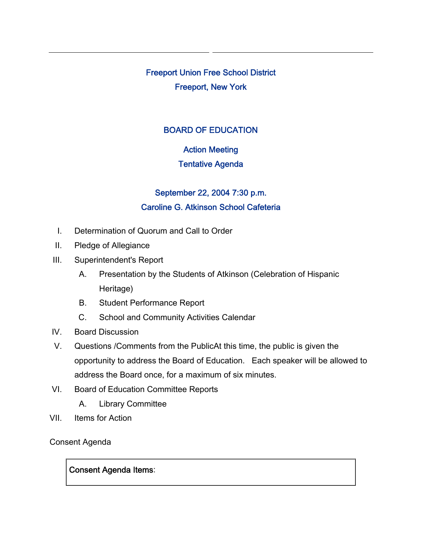Freeport Union Free School District Freeport, New York

# BOARD OF EDUCATION

# Action Meeting

## Tentative Agenda

# September 22, 2004 7:30 p.m. Caroline G. Atkinson School Cafeteria

- I. Determination of Quorum and Call to Order
- II. Pledge of Allegiance
- III. Superintendent's Report
	- A. Presentation by the Students of Atkinson (Celebration of Hispanic Heritage)
	- B. Student Performance Report
	- C. School and Community Activities Calendar
- IV. Board Discussion
- V. Questions /Comments from the PublicAt this time, the public is given the opportunity to address the Board of Education. Each speaker will be allowed to address the Board once, for a maximum of six minutes.
- VI. Board of Education Committee Reports
	- A. Library Committee
- VII. Items for Action

Consent Agenda

## Consent Agenda Items: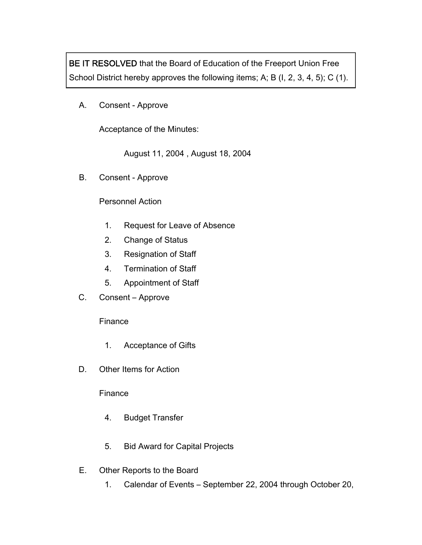BE IT RESOLVED that the Board of Education of the Freeport Union Free School District hereby approves the following items; A; B (I, 2, 3, 4, 5); C (1).

A. Consent - Approve

Acceptance of the Minutes:

August 11, 2004 , August 18, 2004

B. Consent - Approve

### Personnel Action

- 1. Request for Leave of Absence
- 2. Change of Status
- 3. Resignation of Staff
- 4. Termination of Staff
- 5. Appointment of Staff
- C. Consent Approve

#### Finance

- 1. Acceptance of Gifts
- D. Other Items for Action

#### Finance

- 4. Budget Transfer
- 5. Bid Award for Capital Projects
- E. Other Reports to the Board
	- 1. Calendar of Events September 22, 2004 through October 20,